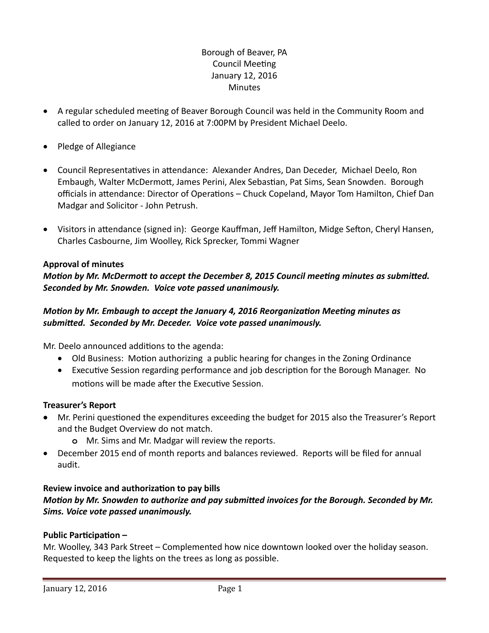# Borough of Beaver, PA Council Meeting January 12, 2016 **Minutes**

- A regular scheduled meeting of Beaver Borough Council was held in the Community Room and called to order on January 12, 2016 at 7:00PM by President Michael Deelo.
- Pledge of Allegiance
- Council Representatives in attendance: Alexander Andres, Dan Deceder, Michael Deelo, Ron Embaugh, Walter McDermott, James Perini, Alex Sebastian, Pat Sims, Sean Snowden. Borough officials in attendance: Director of Operations – Chuck Copeland, Mayor Tom Hamilton, Chief Dan Madgar and Solicitor - John Petrush.
- Visitors in attendance (signed in): George Kauffman, Jeff Hamilton, Midge Sefton, Cheryl Hansen, Charles Casbourne, Jim Woolley, Rick Sprecker, Tommi Wagner

#### **Approval of minutes**

### *Motion by Mr. McDermott to accept the December 8, 2015 Council meeting minutes as submitted. Seconded by Mr. Snowden. Voice vote passed unanimously.*

### *Motion by Mr. Embaugh to accept the January 4, 2016 Reorganization Meeting minutes as submitted. Seconded by Mr. Deceder. Voice vote passed unanimously.*

Mr. Deelo announced additions to the agenda:

- Old Business: Motion authorizing a public hearing for changes in the Zoning Ordinance
- Executive Session regarding performance and job description for the Borough Manager. No motions will be made after the Executive Session.

#### **Treasurer's Report**

- Mr. Perini questioned the expenditures exceeding the budget for 2015 also the Treasurer's Report and the Budget Overview do not match.
	- **o** Mr. Sims and Mr. Madgar will review the reports.
- December 2015 end of month reports and balances reviewed. Reports will be filed for annual audit.

#### **Review invoice and authorization to pay bills**

# *Motion by Mr. Snowden to authorize and pay submitted invoices for the Borough. Seconded by Mr. Sims. Voice vote passed unanimously.*

### **Public Participation –**

Mr. Woolley, 343 Park Street – Complemented how nice downtown looked over the holiday season. Requested to keep the lights on the trees as long as possible.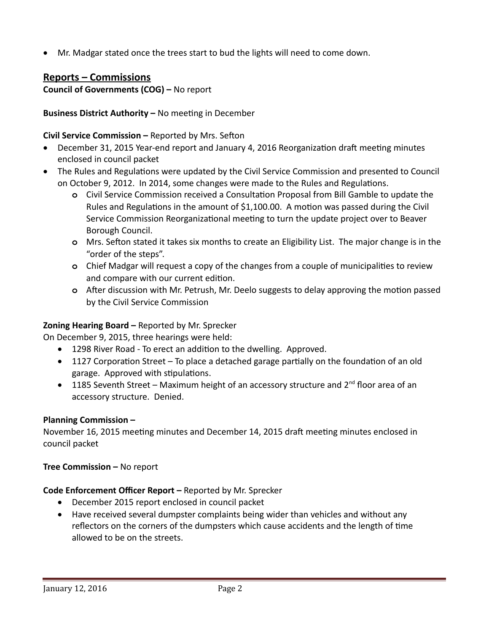Mr. Madgar stated once the trees start to bud the lights will need to come down.

# **Reports – Commissions**

**Council of Governments (COG) –** No report

### **Business District Authority –** No meeting in December

### **Civil Service Commission –** Reported by Mrs. Sefton

- December 31, 2015 Year-end report and January 4, 2016 Reorganization draft meeting minutes enclosed in council packet
- The Rules and Regulations were updated by the Civil Service Commission and presented to Council on October 9, 2012. In 2014, some changes were made to the Rules and Regulations.
	- **o** Civil Service Commission received a Consultation Proposal from Bill Gamble to update the Rules and Regulations in the amount of \$1,100.00. A motion was passed during the Civil Service Commission Reorganizational meeting to turn the update project over to Beaver Borough Council.
	- **o** Mrs. Sefton stated it takes six months to create an Eligibility List. The major change is in the "order of the steps".
	- **o** Chief Madgar will request a copy of the changes from a couple of municipalities to review and compare with our current edition.
	- **o** After discussion with Mr. Petrush, Mr. Deelo suggests to delay approving the motion passed by the Civil Service Commission

# **Zoning Hearing Board –** Reported by Mr. Sprecker

On December 9, 2015, three hearings were held:

- 1298 River Road To erect an addition to the dwelling. Approved.
- 1127 Corporation Street To place a detached garage partially on the foundation of an old garage. Approved with stipulations.
- 1185 Seventh Street Maximum height of an accessory structure and  $2^{nd}$  floor area of an accessory structure. Denied.

### **Planning Commission –**

November 16, 2015 meeting minutes and December 14, 2015 draft meeting minutes enclosed in council packet

**Tree Commission –** No report

### **Code Enforcement Officer Report –** Reported by Mr. Sprecker

- December 2015 report enclosed in council packet
- Have received several dumpster complaints being wider than vehicles and without any reflectors on the corners of the dumpsters which cause accidents and the length of time allowed to be on the streets.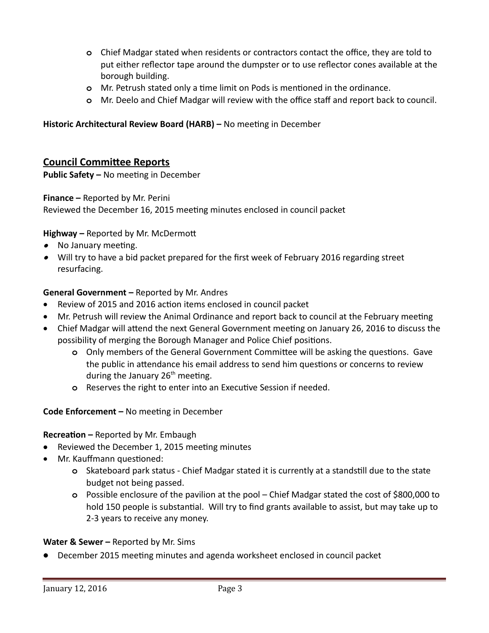- **o** Chief Madgar stated when residents or contractors contact the office, they are told to put either reflector tape around the dumpster or to use reflector cones available at the borough building.
- **o** Mr. Petrush stated only a time limit on Pods is mentioned in the ordinance.
- **o** Mr. Deelo and Chief Madgar will review with the office staff and report back to council.

### **Historic Architectural Review Board (HARB) –** No meeting in December

# **Council Committee Reports**

**Public Safety –** No meeting in December

### **Finance –** Reported by Mr. Perini

Reviewed the December 16, 2015 meeting minutes enclosed in council packet

### **Highway –** Reported by Mr. McDermott

- No January meeting.
- Will try to have a bid packet prepared for the first week of February 2016 regarding street resurfacing.

### **General Government –** Reported by Mr. Andres

- Review of 2015 and 2016 action items enclosed in council packet
- Mr. Petrush will review the Animal Ordinance and report back to council at the February meeting
- Chief Madgar will attend the next General Government meeting on January 26, 2016 to discuss the possibility of merging the Borough Manager and Police Chief positions.
	- **o** Only members of the General Government Committee will be asking the questions. Gave the public in attendance his email address to send him questions or concerns to review during the January  $26<sup>th</sup>$  meeting.
	- **o** Reserves the right to enter into an Executive Session if needed.

### **Code Enforcement –** No meeting in December

### **Recreation –** Reported by Mr. Embaugh

- Reviewed the December 1, 2015 meeting minutes
- Mr. Kauffmann questioned:
	- **o** Skateboard park status Chief Madgar stated it is currently at a standstill due to the state budget not being passed.
	- **o** Possible enclosure of the pavilion at the pool Chief Madgar stated the cost of \$800,000 to hold 150 people is substantial. Will try to find grants available to assist, but may take up to 2-3 years to receive any money.

#### **Water & Sewer –** Reported by Mr. Sims

December 2015 meeting minutes and agenda worksheet enclosed in council packet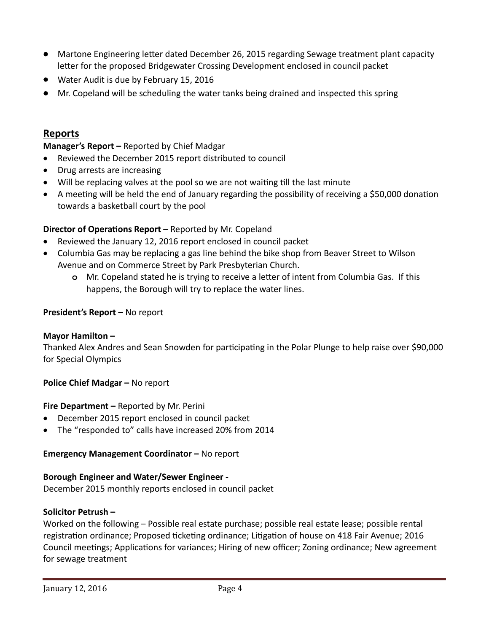- Martone Engineering letter dated December 26, 2015 regarding Sewage treatment plant capacity letter for the proposed Bridgewater Crossing Development enclosed in council packet
- Water Audit is due by February 15, 2016
- Mr. Copeland will be scheduling the water tanks being drained and inspected this spring

# **Reports**

### **Manager's Report –** Reported by Chief Madgar

- Reviewed the December 2015 report distributed to council
- Drug arrests are increasing
- Will be replacing valves at the pool so we are not waiting till the last minute
- A meeting will be held the end of January regarding the possibility of receiving a \$50,000 donation towards a basketball court by the pool

### **Director of Operations Report –** Reported by Mr. Copeland

- Reviewed the January 12, 2016 report enclosed in council packet
- Columbia Gas may be replacing a gas line behind the bike shop from Beaver Street to Wilson Avenue and on Commerce Street by Park Presbyterian Church.
	- **o** Mr. Copeland stated he is trying to receive a letter of intent from Columbia Gas. If this happens, the Borough will try to replace the water lines.

### **President's Report –** No report

### **Mayor Hamilton –**

Thanked Alex Andres and Sean Snowden for participating in the Polar Plunge to help raise over \$90,000 for Special Olympics

### **Police Chief Madgar –** No report

### **Fire Department –** Reported by Mr. Perini

- December 2015 report enclosed in council packet
- The "responded to" calls have increased 20% from 2014

### **Emergency Management Coordinator –** No report

### **Borough Engineer and Water/Sewer Engineer -**

December 2015 monthly reports enclosed in council packet

### **Solicitor Petrush –**

Worked on the following – Possible real estate purchase; possible real estate lease; possible rental registration ordinance; Proposed ticketing ordinance; Litigation of house on 418 Fair Avenue; 2016 Council meetings; Applications for variances; Hiring of new officer; Zoning ordinance; New agreement for sewage treatment